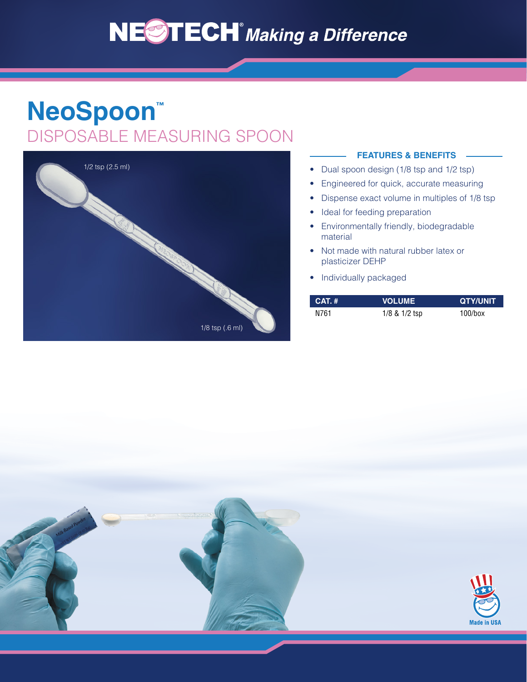# **NEOTECH** Making a Difference

## **NeoSpoon™** DISPOSABLE MEASURING SPOON



#### **FEATURES & BENEFITS**

- Dual spoon design (1/8 tsp and 1/2 tsp)
- Engineered for quick, accurate measuring
- Dispense exact volume in multiples of 1/8 tsp
- Ideal for feeding preparation
- Environmentally friendly, biodegradable material
- Not made with natural rubber latex or plasticizer DEHP
- Individually packaged

| $CAT.$ # | <b>VOLUME</b>     | <b>QTY/UNIT</b> |
|----------|-------------------|-----------------|
| N761     | $1/8$ & $1/2$ tsp | $100/b$ ox      |